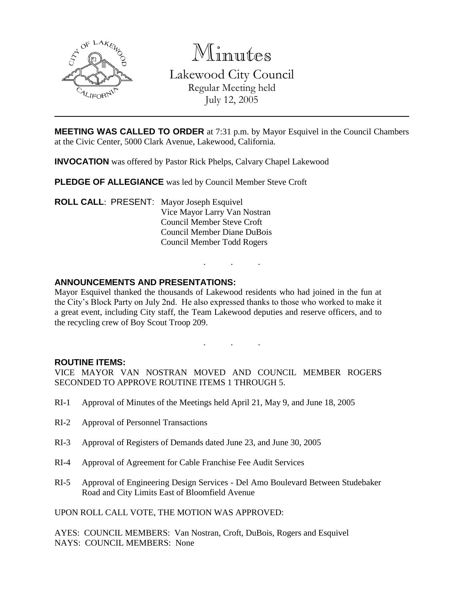

Minutes

Lakewood City Council Regular Meeting held July 12, 2005

**MEETING WAS CALLED TO ORDER** at 7:31 p.m. by Mayor Esquivel in the Council Chambers at the Civic Center, 5000 Clark Avenue, Lakewood, California.

**INVOCATION** was offered by Pastor Rick Phelps, Calvary Chapel Lakewood

**PLEDGE OF ALLEGIANCE** was led by Council Member Steve Croft

**ROLL CALL**: PRESENT: Mayor Joseph Esquivel Vice Mayor Larry Van Nostran Council Member Steve Croft Council Member Diane DuBois Council Member Todd Rogers

## **ANNOUNCEMENTS AND PRESENTATIONS:**

Mayor Esquivel thanked the thousands of Lakewood residents who had joined in the fun at the City's Block Party on July 2nd. He also expressed thanks to those who worked to make it a great event, including City staff, the Team Lakewood deputies and reserve officers, and to the recycling crew of Boy Scout Troop 209.

. . .

. . .

#### **ROUTINE ITEMS:**

VICE MAYOR VAN NOSTRAN MOVED AND COUNCIL MEMBER ROGERS SECONDED TO APPROVE ROUTINE ITEMS 1 THROUGH 5.

- RI-1 Approval of Minutes of the Meetings held April 21, May 9, and June 18, 2005
- RI-2 Approval of Personnel Transactions
- RI-3 Approval of Registers of Demands dated June 23, and June 30, 2005
- RI-4 Approval of Agreement for Cable Franchise Fee Audit Services
- RI-5 Approval of Engineering Design Services Del Amo Boulevard Between Studebaker Road and City Limits East of Bloomfield Avenue

UPON ROLL CALL VOTE, THE MOTION WAS APPROVED:

AYES: COUNCIL MEMBERS: Van Nostran, Croft, DuBois, Rogers and Esquivel NAYS: COUNCIL MEMBERS: None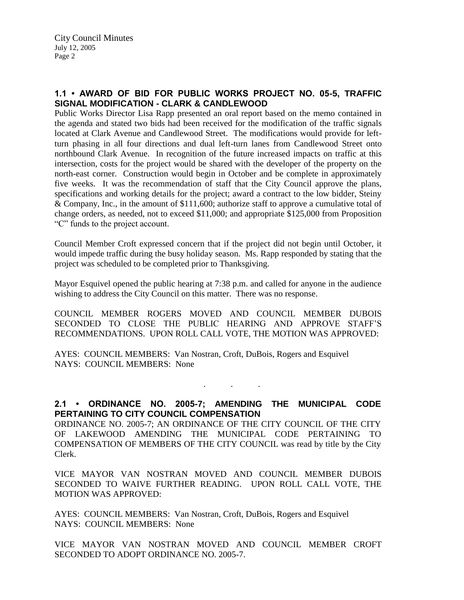# **1.1 • AWARD OF BID FOR PUBLIC WORKS PROJECT NO. 05-5, TRAFFIC SIGNAL MODIFICATION - CLARK & CANDLEWOOD**

Public Works Director Lisa Rapp presented an oral report based on the memo contained in the agenda and stated two bids had been received for the modification of the traffic signals located at Clark Avenue and Candlewood Street. The modifications would provide for leftturn phasing in all four directions and dual left-turn lanes from Candlewood Street onto northbound Clark Avenue. In recognition of the future increased impacts on traffic at this intersection, costs for the project would be shared with the developer of the property on the north-east corner. Construction would begin in October and be complete in approximately five weeks. It was the recommendation of staff that the City Council approve the plans, specifications and working details for the project; award a contract to the low bidder, Steiny & Company, Inc., in the amount of \$111,600; authorize staff to approve a cumulative total of change orders, as needed, not to exceed \$11,000; and appropriate \$125,000 from Proposition "C" funds to the project account.

Council Member Croft expressed concern that if the project did not begin until October, it would impede traffic during the busy holiday season. Ms. Rapp responded by stating that the project was scheduled to be completed prior to Thanksgiving.

Mayor Esquivel opened the public hearing at 7:38 p.m. and called for anyone in the audience wishing to address the City Council on this matter. There was no response.

COUNCIL MEMBER ROGERS MOVED AND COUNCIL MEMBER DUBOIS SECONDED TO CLOSE THE PUBLIC HEARING AND APPROVE STAFF'S RECOMMENDATIONS. UPON ROLL CALL VOTE, THE MOTION WAS APPROVED:

AYES: COUNCIL MEMBERS: Van Nostran, Croft, DuBois, Rogers and Esquivel NAYS: COUNCIL MEMBERS: None

**2.1 • ORDINANCE NO. 2005-7; AMENDING THE MUNICIPAL CODE PERTAINING TO CITY COUNCIL COMPENSATION**

. . .

ORDINANCE NO. 2005-7; AN ORDINANCE OF THE CITY COUNCIL OF THE CITY OF LAKEWOOD AMENDING THE MUNICIPAL CODE PERTAINING TO COMPENSATION OF MEMBERS OF THE CITY COUNCIL was read by title by the City Clerk.

VICE MAYOR VAN NOSTRAN MOVED AND COUNCIL MEMBER DUBOIS SECONDED TO WAIVE FURTHER READING. UPON ROLL CALL VOTE, THE MOTION WAS APPROVED:

AYES: COUNCIL MEMBERS: Van Nostran, Croft, DuBois, Rogers and Esquivel NAYS: COUNCIL MEMBERS: None

VICE MAYOR VAN NOSTRAN MOVED AND COUNCIL MEMBER CROFT SECONDED TO ADOPT ORDINANCE NO. 2005-7.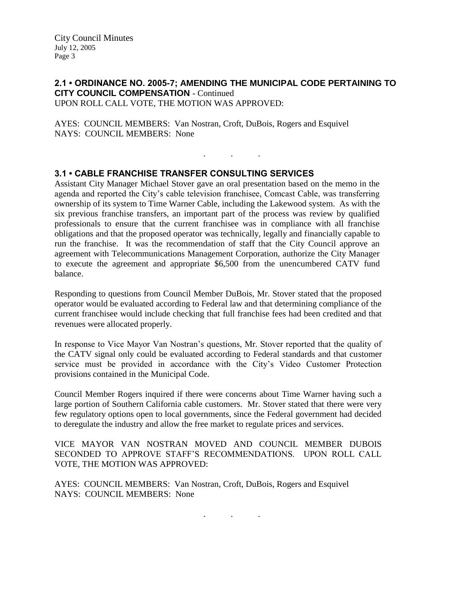City Council Minutes July 12, 2005 Page 3

#### **2.1 • ORDINANCE NO. 2005-7; AMENDING THE MUNICIPAL CODE PERTAINING TO CITY COUNCIL COMPENSATION** - Continued UPON ROLL CALL VOTE, THE MOTION WAS APPROVED:

. . .

AYES: COUNCIL MEMBERS: Van Nostran, Croft, DuBois, Rogers and Esquivel NAYS: COUNCIL MEMBERS: None

## **3.1 • CABLE FRANCHISE TRANSFER CONSULTING SERVICES**

Assistant City Manager Michael Stover gave an oral presentation based on the memo in the agenda and reported the City's cable television franchisee, Comcast Cable, was transferring ownership of its system to Time Warner Cable, including the Lakewood system. As with the six previous franchise transfers, an important part of the process was review by qualified professionals to ensure that the current franchisee was in compliance with all franchise obligations and that the proposed operator was technically, legally and financially capable to run the franchise. It was the recommendation of staff that the City Council approve an agreement with Telecommunications Management Corporation, authorize the City Manager to execute the agreement and appropriate \$6,500 from the unencumbered CATV fund balance.

Responding to questions from Council Member DuBois, Mr. Stover stated that the proposed operator would be evaluated according to Federal law and that determining compliance of the current franchisee would include checking that full franchise fees had been credited and that revenues were allocated properly.

In response to Vice Mayor Van Nostran's questions, Mr. Stover reported that the quality of the CATV signal only could be evaluated according to Federal standards and that customer service must be provided in accordance with the City's Video Customer Protection provisions contained in the Municipal Code.

Council Member Rogers inquired if there were concerns about Time Warner having such a large portion of Southern California cable customers. Mr. Stover stated that there were very few regulatory options open to local governments, since the Federal government had decided to deregulate the industry and allow the free market to regulate prices and services.

VICE MAYOR VAN NOSTRAN MOVED AND COUNCIL MEMBER DUBOIS SECONDED TO APPROVE STAFF'S RECOMMENDATIONS. UPON ROLL CALL VOTE, THE MOTION WAS APPROVED:

AYES: COUNCIL MEMBERS: Van Nostran, Croft, DuBois, Rogers and Esquivel NAYS: COUNCIL MEMBERS: None

. . .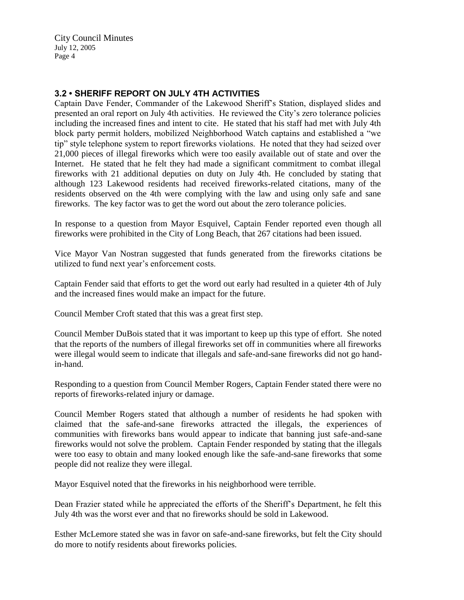City Council Minutes July 12, 2005 Page 4

## **3.2 • SHERIFF REPORT ON JULY 4TH ACTIVITIES**

Captain Dave Fender, Commander of the Lakewood Sheriff's Station, displayed slides and presented an oral report on July 4th activities. He reviewed the City's zero tolerance policies including the increased fines and intent to cite. He stated that his staff had met with July 4th block party permit holders, mobilized Neighborhood Watch captains and established a "we tip" style telephone system to report fireworks violations. He noted that they had seized over 21,000 pieces of illegal fireworks which were too easily available out of state and over the Internet. He stated that he felt they had made a significant commitment to combat illegal fireworks with 21 additional deputies on duty on July 4th. He concluded by stating that although 123 Lakewood residents had received fireworks-related citations, many of the residents observed on the 4th were complying with the law and using only safe and sane fireworks. The key factor was to get the word out about the zero tolerance policies.

In response to a question from Mayor Esquivel, Captain Fender reported even though all fireworks were prohibited in the City of Long Beach, that 267 citations had been issued.

Vice Mayor Van Nostran suggested that funds generated from the fireworks citations be utilized to fund next year's enforcement costs.

Captain Fender said that efforts to get the word out early had resulted in a quieter 4th of July and the increased fines would make an impact for the future.

Council Member Croft stated that this was a great first step.

Council Member DuBois stated that it was important to keep up this type of effort. She noted that the reports of the numbers of illegal fireworks set off in communities where all fireworks were illegal would seem to indicate that illegals and safe-and-sane fireworks did not go handin-hand.

Responding to a question from Council Member Rogers, Captain Fender stated there were no reports of fireworks-related injury or damage.

Council Member Rogers stated that although a number of residents he had spoken with claimed that the safe-and-sane fireworks attracted the illegals, the experiences of communities with fireworks bans would appear to indicate that banning just safe-and-sane fireworks would not solve the problem. Captain Fender responded by stating that the illegals were too easy to obtain and many looked enough like the safe-and-sane fireworks that some people did not realize they were illegal.

Mayor Esquivel noted that the fireworks in his neighborhood were terrible.

Dean Frazier stated while he appreciated the efforts of the Sheriff's Department, he felt this July 4th was the worst ever and that no fireworks should be sold in Lakewood.

Esther McLemore stated she was in favor on safe-and-sane fireworks, but felt the City should do more to notify residents about fireworks policies.